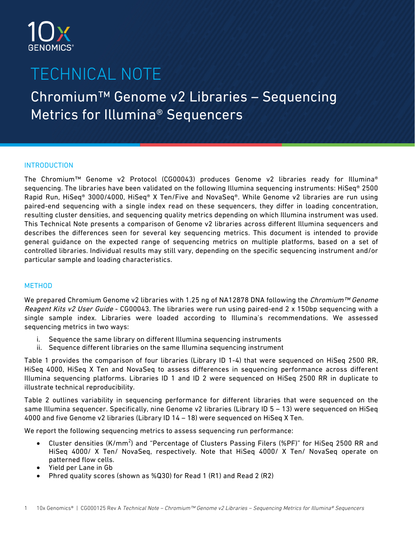

# TECHNICAL NOTE

## Chromium™ Genome v2 Libraries – Sequencing Metrics for Illumina® Sequencers

#### INTRODUCTION

The Chromium™ Genome v2 Protocol (CG00043) produces Genome v2 libraries ready for Illumina® sequencing. The libraries have been validated on the following Illumina sequencing instruments: HiSeq® 2500 Rapid Run, HiSeq® 3000/4000, HiSeq® X Ten/Five and NovaSeq®. While Genome v2 libraries are run using paired-end sequencing with a single index read on these sequencers, they differ in loading concentration, resulting cluster densities, and sequencing quality metrics depending on which Illumina instrument was used. This Technical Note presents a comparison of Genome v2 libraries across different Illumina sequencers and describes the differences seen for several key sequencing metrics. This document is intended to provide general guidance on the expected range of sequencing metrics on multiple platforms, based on a set of controlled libraries. Individual results may still vary, depending on the specific sequencing instrument and/or particular sample and loading characteristics.

#### **METHOD**

We prepared Chromium Genome v2 libraries with 1.25 ng of NA12878 DNA following the Chromium™ Genome Reagent Kits v2 User Guide - CG00043. The libraries were run using paired-end 2 x 150bp sequencing with a single sample index. Libraries were loaded according to Illumina's recommendations. We assessed sequencing metrics in two ways:

- i. Sequence the same library on different Illumina sequencing instruments
- ii. Sequence different libraries on the same Illumina sequencing instrument

Table 1 provides the comparison of four libraries (Library ID 1-4) that were sequenced on HiSeq 2500 RR, HiSeq 4000, HiSeq X Ten and NovaSeq to assess differences in sequencing performance across different Illumina sequencing platforms. Libraries ID 1 and ID 2 were sequenced on HiSeq 2500 RR in duplicate to illustrate technical reproducibility.

Table 2 outlines variability in sequencing performance for different libraries that were sequenced on the same Illumina sequencer. Specifically, nine Genome v2 libraries (Library ID 5 – 13) were sequenced on HiSeq 4000 and five Genome v2 libraries (Library ID 14 – 18) were sequenced on HiSeq X Ten.

We report the following sequencing metrics to assess sequencing run performance:

- Cluster densities (K/mm<sup>2</sup>) and "Percentage of Clusters Passing Filers (%PF)" for HiSeq 2500 RR and HiSeq 4000/ X Ten/ NovaSeq, respectively. Note that HiSeq 4000/ X Ten/ NovaSeq operate on patterned flow cells.
- Yield per Lane in Gb
- Phred quality scores (shown as %Q30) for Read 1 (R1) and Read 2 (R2)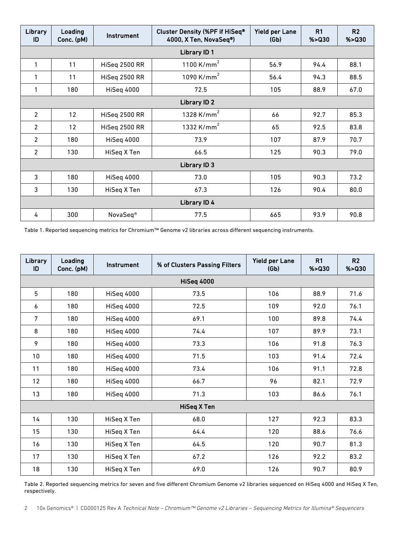| Library<br>ID       | Loading<br>Conc. (pM) | Instrument           | Cluster Density (%PF if HiSeq®<br>4000, X Ten, NovaSeq®) | Yield per Lane<br>(Gb) | R <sub>1</sub><br>% > Q30 | R <sub>2</sub><br>% > Q30 |  |  |  |  |
|---------------------|-----------------------|----------------------|----------------------------------------------------------|------------------------|---------------------------|---------------------------|--|--|--|--|
| <b>Library ID1</b>  |                       |                      |                                                          |                        |                           |                           |  |  |  |  |
| 1                   | 11                    | HiSeq 2500 RR        | 1100 K/mm <sup>2</sup>                                   | 56.9                   | 94.4                      | 88.1                      |  |  |  |  |
| 1                   | 11                    | <b>HiSeq 2500 RR</b> | 1090 K/mm <sup>2</sup>                                   | 56.4                   | 94.3                      | 88.5                      |  |  |  |  |
| 1                   | 180                   | HiSeq 4000           | 72.5                                                     | 105                    | 88.9                      | 67.0                      |  |  |  |  |
| <b>Library ID 2</b> |                       |                      |                                                          |                        |                           |                           |  |  |  |  |
| $\overline{2}$      | 12                    | <b>HiSeq 2500 RR</b> | 1328 K/mm <sup>2</sup>                                   | 66                     | 92.7                      | 85.3                      |  |  |  |  |
| $\overline{2}$      | 12                    | <b>HiSeq 2500 RR</b> | 1332 K/mm <sup>2</sup>                                   | 65                     | 92.5                      | 83.8                      |  |  |  |  |
| $\overline{2}$      | 180                   | HiSeq 4000           | 73.9                                                     | 107                    | 87.9                      | 70.7                      |  |  |  |  |
| $\overline{2}$      | 130                   | HiSeg X Ten          | 66.5                                                     | 125                    | 90.3                      | 79.0                      |  |  |  |  |
| Library ID 3        |                       |                      |                                                          |                        |                           |                           |  |  |  |  |
| 3                   | 180                   | HiSeq 4000           | 73.0                                                     | 105                    | 90.3                      | 73.2                      |  |  |  |  |
| 3                   | 130                   | HiSeg X Ten          | 67.3                                                     | 126                    | 90.4                      | 80.0                      |  |  |  |  |
| Library ID 4        |                       |                      |                                                          |                        |                           |                           |  |  |  |  |
| 4                   | 300                   | NovaSeq <sup>®</sup> | 77.5                                                     | 665                    | 93.9                      | 90.8                      |  |  |  |  |

Table 1. Reported sequencing metrics for Chromium™ Genome v2 libraries across different sequencing instruments.

| Library<br>ID      | Loading<br>Conc. (pM) | Instrument        | % of Clusters Passing Filters | <b>Yield per Lane</b><br>(Gb) | R1<br>% > Q30 | R <sub>2</sub><br>% > Q30 |  |  |  |  |
|--------------------|-----------------------|-------------------|-------------------------------|-------------------------------|---------------|---------------------------|--|--|--|--|
| <b>HiSeq 4000</b>  |                       |                   |                               |                               |               |                           |  |  |  |  |
| 5                  | 180                   | HiSeq 4000        | 73.5                          | 106                           | 88.9          | 71.6                      |  |  |  |  |
| 6                  | 180                   | HiSeq 4000        | 72.5                          | 109                           | 92.0          | 76.1                      |  |  |  |  |
| 7                  | 180                   | HiSeq 4000        | 69.1                          | 100                           | 89.8          | 74.4                      |  |  |  |  |
| 8                  | 180                   | HiSeq 4000        | 74.4                          | 107                           | 89.9          | 73.1                      |  |  |  |  |
| 9                  | 180                   | HiSeq 4000        | 73.3                          | 106                           | 91.8          | 76.3                      |  |  |  |  |
| 10                 | 180                   | HiSeq 4000        | 71.5                          | 103                           | 91.4          | 72.4                      |  |  |  |  |
| 11                 | 180                   | HiSeq 4000        | 73.4                          | 106                           | 91.1          | 72.8                      |  |  |  |  |
| 12                 | 180                   | HiSeq 4000        | 66.7                          | 96                            | 82.1          | 72.9                      |  |  |  |  |
| 13                 | 180                   | <b>HiSeq 4000</b> | 71.3                          | 103                           | 86.6          | 76.1                      |  |  |  |  |
| <b>HiSeq X Ten</b> |                       |                   |                               |                               |               |                           |  |  |  |  |
| 14                 | 130                   | HiSeq X Ten       | 68.0                          | 127                           | 92.3          | 83.3                      |  |  |  |  |
| 15                 | 130                   | HiSeq X Ten       | 64.4                          | 120                           | 88.6          | 76.6                      |  |  |  |  |
| 16                 | 130                   | HiSeq X Ten       | 64.5                          | 120                           | 90.7          | 81.3                      |  |  |  |  |
| 17                 | 130                   | HiSeq X Ten       | 67.2                          | 126                           | 92.2          | 83.2                      |  |  |  |  |
| 18                 | 130                   | HiSeq X Ten       | 69.0                          | 126                           | 90.7          | 80.9                      |  |  |  |  |

Table 2. Reported sequencing metrics for seven and five different Chromium Genome v2 libraries sequenced on HiSeq 4000 and HiSeq X Ten, respectively.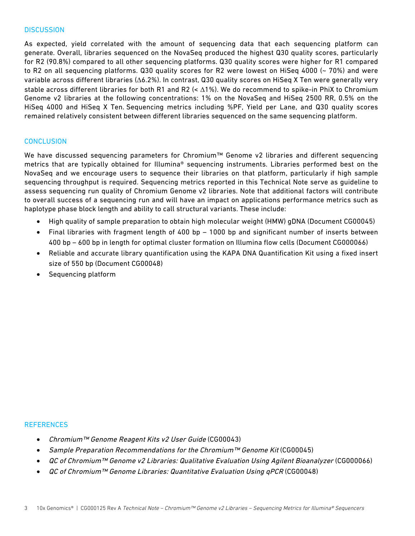#### **DISCUSSION**

As expected, yield correlated with the amount of sequencing data that each sequencing platform can generate. Overall, libraries sequenced on the NovaSeq produced the highest Q30 quality scores, particularly for R2 (90.8%) compared to all other sequencing platforms. Q30 quality scores were higher for R1 compared to R2 on all sequencing platforms. Q30 quality scores for R2 were lowest on HiSeq 4000 (~ 70%) and were variable across different libraries ( $\Delta 6.2$ %). In contrast, Q30 quality scores on HiSeq X Ten were generally very stable across different libraries for both R1 and R2 (<  $\Delta$ 1%). We do recommend to spike-in PhiX to Chromium Genome v2 libraries at the following concentrations: 1% on the NovaSeq and HiSeq 2500 RR, 0.5% on the HiSeq 4000 and HiSeq X Ten. Sequencing metrics including %PF, Yield per Lane, and Q30 quality scores remained relatively consistent between different libraries sequenced on the same sequencing platform.

#### **CONCLUSION**

We have discussed sequencing parameters for Chromium<sup>™</sup> Genome v2 libraries and different sequencing metrics that are typically obtained for Illumina® sequencing instruments. Libraries performed best on the NovaSeq and we encourage users to sequence their libraries on that platform, particularly if high sample sequencing throughput is required. Sequencing metrics reported in this Technical Note serve as guideline to assess sequencing run quality of Chromium Genome v2 libraries. Note that additional factors will contribute to overall success of a sequencing run and will have an impact on applications performance metrics such as haplotype phase block length and ability to call structural variants. These include:

- High quality of sample preparation to obtain high molecular weight (HMW) gDNA (Document CG00045)
- Final libraries with fragment length of 400 bp 1000 bp and significant number of inserts between 400 bp – 600 bp in length for optimal cluster formation on Illumina flow cells (Document CG000066)
- Reliable and accurate library quantification using the KAPA DNA Quantification Kit using a fixed insert size of 550 bp (Document CG00048)
- Sequencing platform

#### **REFERENCES**

- Chromium™ Genome Reagent Kits v2 User Guide (CG00043)
- Sample Preparation Recommendations for the Chromium™ Genome Kit (CG00045)
- QC of Chromium™ Genome v2 Libraries: Qualitative Evaluation Using Agilent Bioanalyzer (CG000066)
- QC of Chromium™ Genome Libraries: Quantitative Evaluation Using qPCR (CG00048)